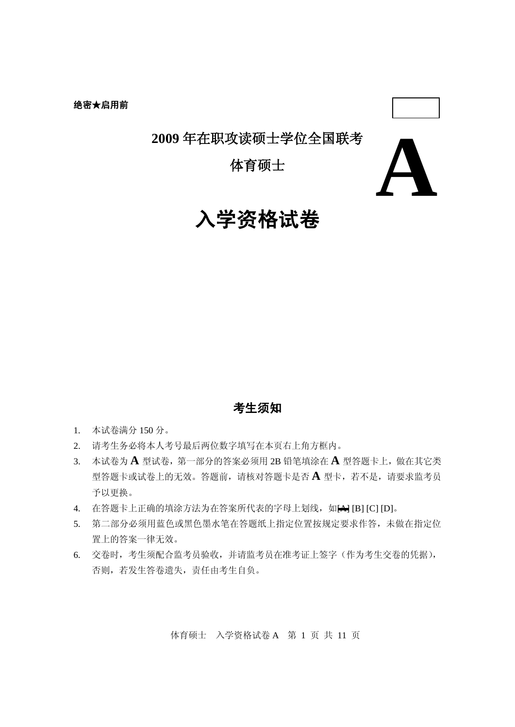# **2009** 年在职攻读硕士学位全国联考

体育硕士



# 入学资格试卷

## 考生须知

- 1. 本试卷满分 150 分。
- 2. 请考生务必将本人考号最后两位数字填写在本页右上角方框内。
- 3. 本试卷为 **A** 型试卷,第一部分的答案必须用 2B 铅笔填涂在 **A** 型答题卡上,做在其它类 型答题卡或试卷上的无效。答题前,请核对答题卡是否 **A** 型卡,若不是,请要求监考员 予以更换。
- 4. 在答题卡上正确的填涂方法为在答案所代表的字母上划线, 如A [B] [C] [D]。
- 5. 第二部分必须用蓝色或黑色墨水笔在答题纸上指定位置按规定要求作答,未做在指定位 置上的答案一律无效。
- 6. 交卷时,考生须配合监考员验收,并请监考员在准考证上签字(作为考生交卷的凭据), 否则,若发生答卷遗失,责任由考生自负。

体育硕士 入学资格试卷 A 第 1 页 共 11 页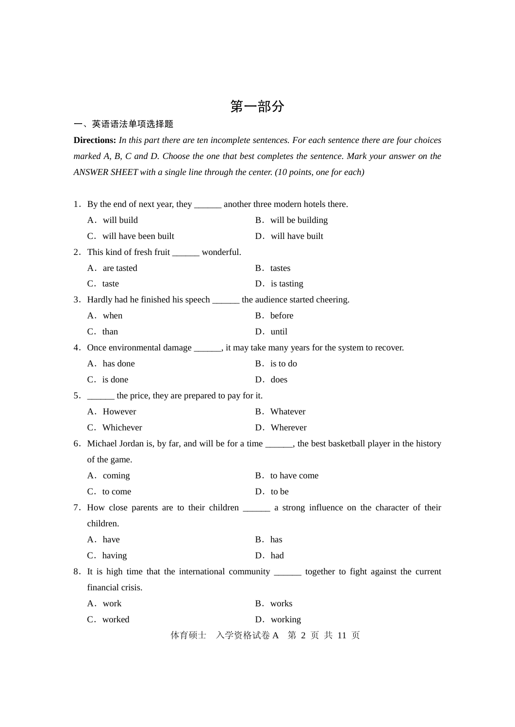# 第一部分

### 一、英语语法单项选择题

**Directions:** *In this part there are ten incomplete sentences. For each sentence there are four choices marked A, B, C and D. Choose the one that best completes the sentence. Mark your answer on the ANSWER SHEET with a single line through the center. (10 points, one for each)*

| 1. By the end of next year, they _________ another three modern hotels there.                          |                     |  |  |  |
|--------------------------------------------------------------------------------------------------------|---------------------|--|--|--|
| A. will build                                                                                          | B. will be building |  |  |  |
| C. will have been built                                                                                | D. will have built  |  |  |  |
| 2. This kind of fresh fruit ________ wonderful.                                                        |                     |  |  |  |
| A. are tasted                                                                                          | B. tastes           |  |  |  |
| C. taste                                                                                               | D. is tasting       |  |  |  |
| 3. Hardly had he finished his speech ______ the audience started cheering.                             |                     |  |  |  |
| A. when                                                                                                | B. before           |  |  |  |
| C. than                                                                                                | D. until            |  |  |  |
| 4. Once environmental damage _______, it may take many years for the system to recover.                |                     |  |  |  |
| A. has done                                                                                            | B. is to do         |  |  |  |
| C. is done                                                                                             | D. does             |  |  |  |
| 5. ______ the price, they are prepared to pay for it.                                                  |                     |  |  |  |
| A. However                                                                                             | B. Whatever         |  |  |  |
| C. Whichever                                                                                           | D. Wherever         |  |  |  |
| 6. Michael Jordan is, by far, and will be for a time ______, the best basketball player in the history |                     |  |  |  |
| of the game.                                                                                           |                     |  |  |  |
| A. coming                                                                                              | B. to have come     |  |  |  |
| C. to come                                                                                             | D. to be            |  |  |  |
| 7. How close parents are to their children ________ a strong influence on the character of their       |                     |  |  |  |
| children.                                                                                              |                     |  |  |  |
| A. have                                                                                                | B. has              |  |  |  |
| C. having                                                                                              | D. had              |  |  |  |
| 8. It is high time that the international community _______ together to fight against the current      |                     |  |  |  |
| financial crisis.                                                                                      |                     |  |  |  |
| A. work                                                                                                | B. works            |  |  |  |
| C. worked                                                                                              | D. working          |  |  |  |
| 体育硕士 入学资格试卷 A 第 2 页 共 11 页                                                                             |                     |  |  |  |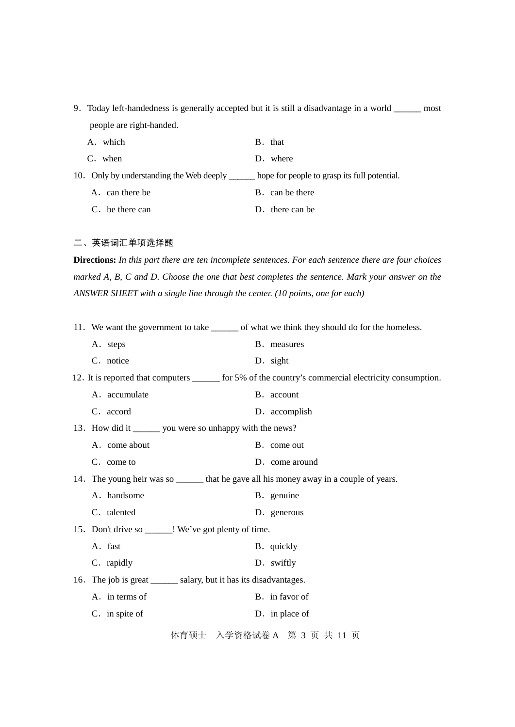9.Today left-handedness is generally accepted but it is still a disadvantage in a world \_\_\_\_\_\_ most people are right-handed.

| A. which                                 | B. that                                      |
|------------------------------------------|----------------------------------------------|
| C. when                                  | D. where                                     |
| 10. Only by understanding the Web deeply | hope for people to grasp its full potential. |
| A. can there be                          | B. can be there                              |
|                                          |                                              |

C. be there can  $D$ . there can be

### 二、英语词汇单项选择题

**Directions:** *In this part there are ten incomplete sentences. For each sentence there are four choices marked A, B, C and D. Choose the one that best completes the sentence. Mark your answer on the ANSWER SHEET with a single line through the center. (10 points, one for each)*

|  |                                                                     | 11. We want the government to take ________ of what we think they should do for the homeless.         |
|--|---------------------------------------------------------------------|-------------------------------------------------------------------------------------------------------|
|  | A. steps                                                            | B. measures                                                                                           |
|  | C. notice                                                           | D. sight                                                                                              |
|  |                                                                     | 12. It is reported that computers _______ for 5% of the country's commercial electricity consumption. |
|  | A. accumulate                                                       | B. account                                                                                            |
|  | C. accord                                                           | D. accomplish                                                                                         |
|  | 13. How did it ________ you were so unhappy with the news?          |                                                                                                       |
|  | A. come about                                                       | B. come out                                                                                           |
|  | C. come to                                                          | D. come around                                                                                        |
|  |                                                                     | 14. The young heir was so ________ that he gave all his money away in a couple of years.              |
|  | A. handsome                                                         | B. genuine                                                                                            |
|  | C. talented                                                         | D. generous                                                                                           |
|  | 15. Don't drive so ______! We've got plenty of time.                |                                                                                                       |
|  | A. fast                                                             | B. quickly                                                                                            |
|  | C. rapidly                                                          | D. swiftly                                                                                            |
|  | 16. The job is great ________ salary, but it has its disadvantages. |                                                                                                       |
|  | A. in terms of                                                      | B. in favor of                                                                                        |
|  | C. in spite of                                                      | D. in place of                                                                                        |
|  |                                                                     | 体育硕士 入学资格试卷 A 第 3 页 共 11 页                                                                            |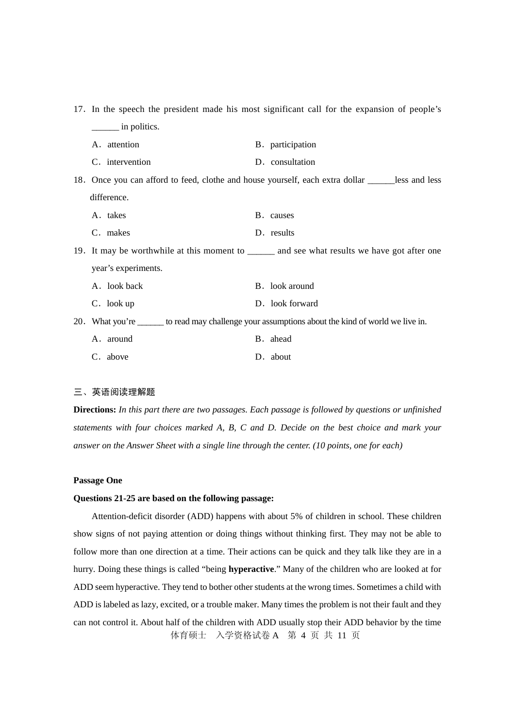|                     | 17. In the speech the president made his most significant call for the expansion of people's       |
|---------------------|----------------------------------------------------------------------------------------------------|
| in politics.        |                                                                                                    |
| A. attention        | B. participation                                                                                   |
| C. intervention     | D. consultation                                                                                    |
|                     | 18. Once you can afford to feed, clothe and house yourself, each extra dollar _____less and less   |
| difference.         |                                                                                                    |
| A. takes            | B. causes                                                                                          |
| C. makes            | D. results                                                                                         |
|                     | 19. It may be worthwhile at this moment to _______ and see what results we have got after one      |
| year's experiments. |                                                                                                    |
| A. look back        | B. look around                                                                                     |
| C. look up          | D. look forward                                                                                    |
|                     | 20. What you're _______ to read may challenge your assumptions about the kind of world we live in. |
| A. around           | B. ahead                                                                                           |
| C. above            | D. about                                                                                           |

#### 三、英语阅读理解题

**Directions:** *In this part there are two passages. Each passage is followed by questions or unfinished statements with four choices marked A, B, C and D. Decide on the best choice and mark your answer on the Answer Sheet with a single line through the center. (10 points, one for each)*

#### **Passage One**

#### **Questions 21-25 are based on the following passage:**

体育硕士 入学资格试卷 A 第 4 页 共 11 页 Attention-deficit disorder (ADD) happens with about 5% of children in school. These children show signs of not paying attention or doing things without thinking first. They may not be able to follow more than one direction at a time. Their actions can be quick and they talk like they are in a hurry. Doing these things is called "being **hyperactive**." Many of the children who are looked at for ADD seem hyperactive. They tend to bother other students at the wrong times. Sometimes a child with ADD is labeled as lazy, excited, or a trouble maker. Many times the problem is not their fault and they can not control it. About half of the children with ADD usually stop their ADD behavior by the time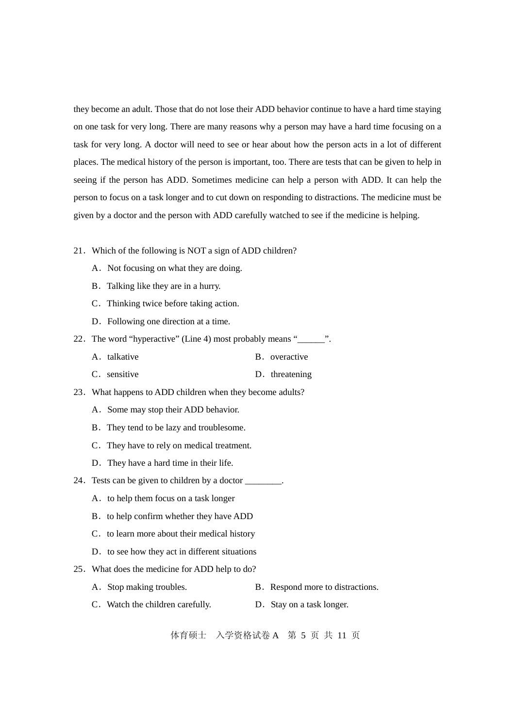they become an adult. Those that do not lose their ADD behavior continue to have a hard time staying on one task for very long. There are many reasons why a person may have a hard time focusing on a task for very long. A doctor will need to see or hear about how the person acts in a lot of different places. The medical history of the person is important, too. There are tests that can be given to help in seeing if the person has ADD. Sometimes medicine can help a person with ADD. It can help the person to focus on a task longer and to cut down on responding to distractions. The medicine must be given by a doctor and the person with ADD carefully watched to see if the medicine is helping.

- 21.Which of the following is NOT a sign of ADD children?
	- A. Not focusing on what they are doing.
	- B. Talking like they are in a hurry.
	- C.Thinking twice before taking action.
	- D. Following one direction at a time.
- 22. The word "hyperactive" (Line 4) most probably means "\_\_\_\_\_\_".
	- A. talkative B. overactive
	- C. sensitive D. threatening
- 23.What happens to ADD children when they become adults?
	- A.Some may stop their ADD behavior.
	- B. They tend to be lazy and troublesome.
	- C.They have to rely on medical treatment.
	- D. They have a hard time in their life.
- 24. Tests can be given to children by a doctor \_\_\_\_\_\_\_\_.
	- A. to help them focus on a task longer
	- B. to help confirm whether they have ADD
	- C. to learn more about their medical history
	- D. to see how they act in different situations
- 25.What does the medicine for ADD help to do?
	- A. Stop making troubles. B. Respond more to distractions.
	- C. Watch the children carefully. D. Stay on a task longer.

体育硕士 入学资格试卷 A 第 5 页 共 11 页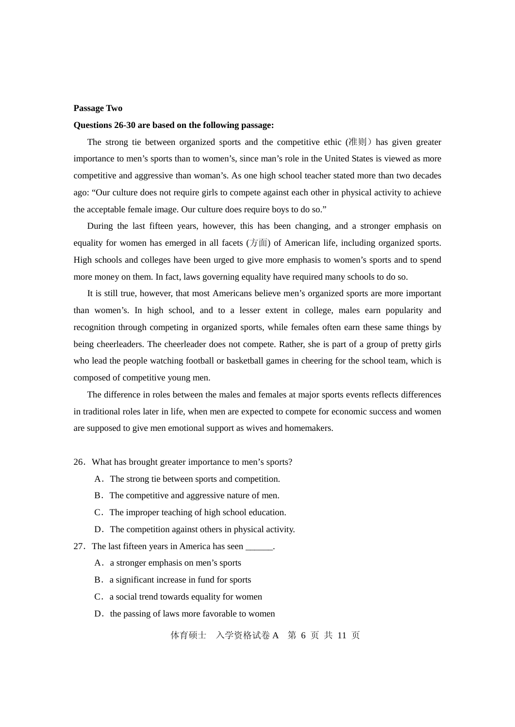#### **Passage Two**

#### **Questions 26-30 are based on the following passage:**

The strong tie between organized sports and the competitive ethic (准则) has given greater importance to men's sports than to women's, since man's role in the United States is viewed as more competitive and aggressive than woman's. As one high school teacher stated more than two decades ago: "Our culture does not require girls to compete against each other in physical activity to achieve the acceptable female image. Our culture does require boys to do so."

 During the last fifteen years, however, this has been changing, and a stronger emphasis on equality for women has emerged in all facets  $(7\bar{m})$  of American life, including organized sports. High schools and colleges have been urged to give more emphasis to women's sports and to spend more money on them. In fact, laws governing equality have required many schools to do so.

 It is still true, however, that most Americans believe men's organized sports are more important than women's. In high school, and to a lesser extent in college, males earn popularity and recognition through competing in organized sports, while females often earn these same things by being cheerleaders. The cheerleader does not compete. Rather, she is part of a group of pretty girls who lead the people watching football or basketball games in cheering for the school team, which is composed of competitive young men.

The difference in roles between the males and females at major sports events reflects differences in traditional roles later in life, when men are expected to compete for economic success and women are supposed to give men emotional support as wives and homemakers.

#### 26.What has brought greater importance to men's sports?

- A.The strong tie between sports and competition.
- B. The competitive and aggressive nature of men.
- C.The improper teaching of high school education.
- D. The competition against others in physical activity.
- 27. The last fifteen years in America has seen
	- A. a stronger emphasis on men's sports
	- B. a significant increase in fund for sports
	- C. a social trend towards equality for women
	- D. the passing of laws more favorable to women

体育硕士 入学资格试卷 A 第 6 页 共 11 页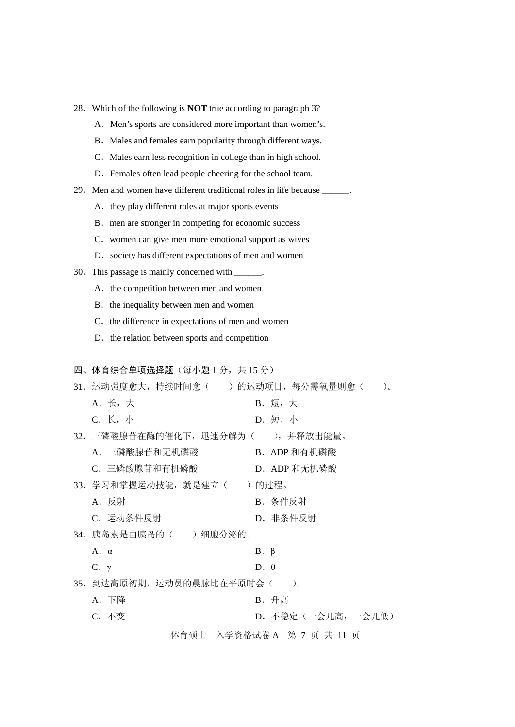- A. Men's sports are considered more important than women's.
- B. Males and females earn popularity through different ways.
- C. Males earn less recognition in college than in high school.
- D. Females often lead people cheering for the school team.
- 29. Men and women have different traditional roles in life because \_\_\_\_\_\_.
	- A. they play different roles at major sports events
	- B. men are stronger in competing for economic success
	- C.women can give men more emotional support as wives
	- D. society has different expectations of men and women
- 30.This passage is mainly concerned with \_\_\_\_\_\_.
	- A. the competition between men and women
	- B. the inequality between men and women
	- C. the difference in expectations of men and women
	- D. the relation between sports and competition

#### 四、体育综合单项选择题(每小题1分,共15分)

| 31. 运动强度愈大,持续时间愈(  )的运动项目,每分需氧量则愈( | $\sum_{\alpha}$            |
|------------------------------------|----------------------------|
| A. 长, 大                            | B. 短, 大                    |
| C. 长, 小                            | D. 短, 小                    |
| 32. 三磷酸腺苷在酶的催化下,迅速分解为(  ),并释放出能量。  |                            |
| A. 三磷酸腺苷和无机磷酸                      | B. ADP 和有机磷酸               |
| C. 三磷酸腺苷和有机磷酸                      | D. ADP 和无机磷酸               |
| 33. 学习和掌握运动技能,就是建立(  )的过程。         |                            |
| A. 反射                              | B. 条件反射                    |
| C. 运动条件反射                          | D. 非条件反射                   |
| 34. 胰岛素是由胰岛的( ) 细胞分泌的。             |                            |
| $A. \alpha$                        | $B. \beta$                 |
| $C. \gamma$                        | $D. \theta$                |
| 35. 到达高原初期,运动员的晨脉比在平原时会(           | $)$ .                      |
| A. 下降                              | B. 升高                      |
| C. 不变                              | D. 不稳定(一会儿高, 一会儿低)         |
|                                    | 体育硕士 入学资格试卷 A 第 7 页 共 11 页 |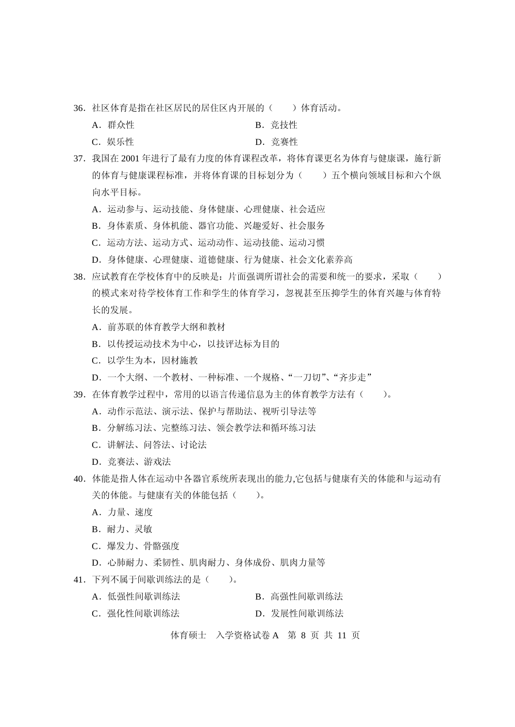- 36. 社区体育是指在社区居民的居住区内开展的() 体育活动。
	- A. 群众性 **B.** 意技性
	- C. 娱乐性 <br>
	D. 竞赛性
- 37. 我国在 2001 年进行了最有力度的体育课程改革,将体育课更名为体育与健康课,施行新 的体育与健康课程标准,并将体育课的目标划分为()五个横向领域目标和六个纵 向水平目标。
	- A.运动参与、运动技能、身体健康、心理健康、社会适应
	- B.身体素质、身体机能、器官功能、兴趣爱好、社会服务
	- C. 运动方法、运动动作、运动技能、运动习惯
	- D.身体健康、心理健康、道德健康、行为健康、社会文化素养高
- 38. 应试教育在学校体育中的反映是: 片面强调所谓社会的需要和统一的要求,采取() 的模式来对待学校体育工作和学生的体育学习,忽视甚至压抑学生的体育兴趣与体育特 长的发展。
	- A.前苏联的体育教学大纲和教材
	- B.以传授运动技术为中心,以技评达标为目的
	- C.以学生为本,因材施教
	- D.一个大纲、一个教材、一种标准、一个规格、"一刀切"、"齐步走"
- 39.在体育教学过程中,常用的以语言传递信息为主的体育教学方法有( )。
	- A.动作示范法、演示法、保护与帮助法、视听引导法等
	- B.分解练习法、完整练习法、领会教学法和循环练习法
	- C.讲解法、问答法、讨论法
	- D.竞赛法、游戏法
- 40.体能是指人体在运动中各器官系统所表现出的能力,它包括与健康有关的体能和与运动有 关的体能。与健康有关的体能包括()。
	- A.力量、速度
	- B.耐力、灵敏
	- C.爆发力、骨骼强度
	- D.心肺耐力、柔韧性、肌肉耐力、身体成份、肌肉力量等
- 41.下列不属于间歇训练法的是( )。
	- A. 低强性间歇训练法<br>B. 高强性间歇训练法
	- C. 强化性间歇训练法 **D. 发展性间歇训**练法

体育硕士 入学资格试卷 A 第 8 页 共 11 页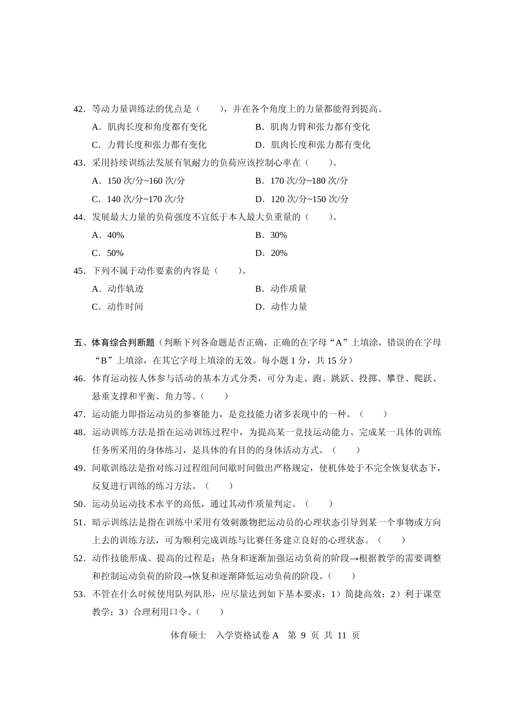| 42. 等动力量训练法的优点是(  ),并在各个角度上的力量都能得到提高。 |                   |                    |                 |
|---------------------------------------|-------------------|--------------------|-----------------|
| A. 肌肉长度和角度都有变化                        |                   | B. 肌肉力臂和张力都有变化     |                 |
| C. 力臂长度和张力都有变化                        |                   | D. 肌肉长度和张力都有变化     |                 |
| 43. 采用持续训练法发展有氧耐力的负荷应该控制心率在(          |                   |                    | $\sum_{\alpha}$ |
| A. 150 次/分~160 次/分                    |                   | B. 170 次/分~180 次/分 |                 |
| C. 140 次/分~170 次/分                    |                   | D. 120 次/分~150 次/分 |                 |
| 44. 发展最大力量的负荷强度不宜低于本人最大负重量的(          |                   |                    | $\lambda$       |
| $A.40\%$                              |                   | <b>B.</b> 30%      |                 |
| C. 50%                                |                   | D. 20%             |                 |
| 45. 下列不属于动作要素的内容是(                    | $\lambda_{\rm o}$ |                    |                 |
| A. 动作轨迹                               |                   | B. 动作质量            |                 |
| C. 动作时间                               |                   | D. 动作力量            |                 |

- 五、体育综合判断题(判断下列各命题是否正确,正确的在字母"A"上填涂,错误的在字母 "B"上填涂, 在其它字母上填涂的无效。每小题 1 分, 共 15 分)
- 46.体育运动按人体参与活动的基本方式分类,可分为走、跑、跳跃、投掷、攀登、爬跃、 悬垂支撑和平衡、角力等。()
- 47. 运动能力即指运动员的参赛能力, 是竞技能力诸多表现中的一种。()
- 48. 运动训练方法是指在运动训练过程中, 为提高某一竞技运动能力、完成某一具体的训练 任务所采用的身体练习,是具体的有目的的身体活动方式。()
- 49.间歇训练法是指对练习过程组间间歇时间做出严格规定,使机体处于不完全恢复状态下, 反复进行训练的练习方法。()
- 50. 运动员运动技术水平的高低,通过其动作质量判定。()
- 51. 暗示训练法是指在训练中采用有效刺激物把运动员的心理状态引导到某一个事物或方向 上去的训练方法,可为顺利完成训练与比赛任务建立良好的心理状态。( )
- 52.动作技能形成、提高的过程是:热身和逐渐加强运动负荷的阶段→根据教学的需要调整 和控制运动负荷的阶段→恢复和逐渐降低运动负荷的阶段。()
- 53. 不管在什么时候使用队列队形,应尽量达到如下基本要求: 1) 简捷高效; 2) 利于课堂 教学; 3)合理利用口令。()

体育硕士 入学资格试卷 A 第 9 页 共 11 页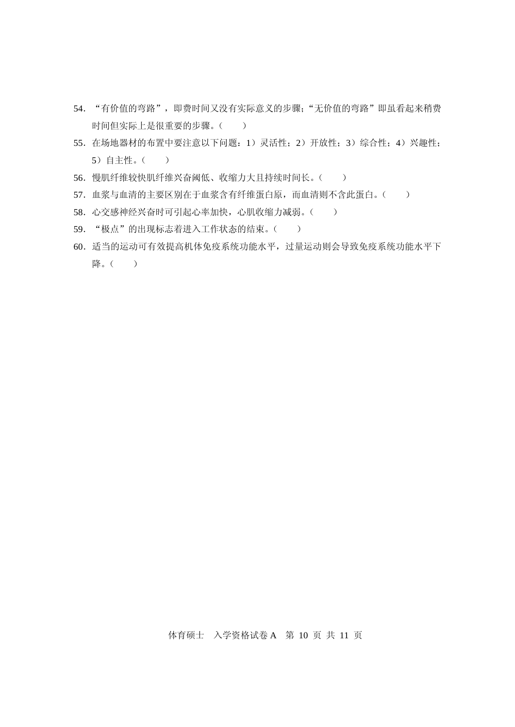- 54. "有价值的弯路", 即费时间又没有实际意义的步骤; "无价值的弯路"即虽看起来稍费 时间但实际上是很重要的步骤。()
- 55.在场地器材的布置中要注意以下问题:1)灵活性;2)开放性;3)综合性;4)兴趣性; 5)自主性。( )
- 56. 慢肌纤维较快肌纤维兴奋阈低、收缩力大且持续时间长。()
- 57. 血浆与血清的主要区别在于血浆含有纤维蛋白原, 而血清则不含此蛋白。()
- 58. 心交感神经兴奋时可引起心率加快,心肌收缩力减弱。()
- 59. "极点"的出现标志着进入工作状态的结束。()
- 60.适当的运动可有效提高机体免疫系统功能水平,过量运动则会导致免疫系统功能水平下 降。( )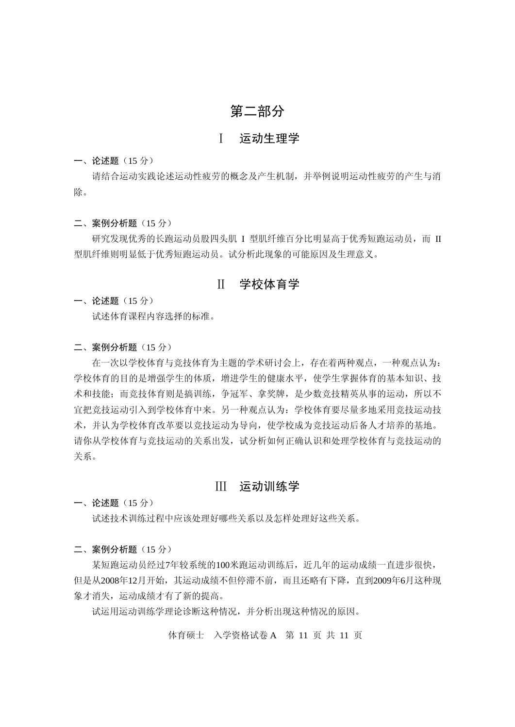## 第二部分

## Ⅰ 运动生理学

一、论述题(15 分)

请结合运动实践论述运动性疲劳的概念及产生机制,并举例说明运动性疲劳的产生与消 除。

二、案例分析题(15 分)

研究发现优秀的长跑运动员股四头肌 I 型肌纤维百分比明显高于优秀短跑运动员,而 II 型肌纤维则明显低于优秀短跑运动员。试分析此现象的可能原因及生理意义。

### Ⅱ 学校体育学

一、论述题(15 分)

试述体育课程内容选择的标准。

二、案例分析题(15分)

在一次以学校体育与竞技体育为主题的学术研讨会上,存在着两种观点,一种观点认为: 学校体育的目的是增强学生的体质,增进学生的健康水平,使学生掌握体育的基本知识、技 术和技能;而竞技体育则是搞训练,争冠军、拿奖牌,是少数竞技精英从事的运动,所以不 宜把竞技运动引入到学校体育中来。另一种观点认为:学校体育要尽量多地采用竞技运动技 术,并认为学校体育改革要以竞技运动为导向,使学校成为竞技运动后备人才培养的基地。 请你从学校体育与竞技运动的关系出发,试分析如何正确认识和处理学校体育与竞技运动的 关系。

### Ⅲ 运动训练学

一、论述题(15 分)

试述技术训练过程中应该处理好哪些关系以及怎样处理好这些关系。

二、案例分析题(15分)

某短跑运动员经过7年较系统的100米跑运动训练后,近几年的运动成绩一直进步很快, 但是从2008年12月开始,其运动成绩不但停滞不前,而且还略有下降,直到2009年6月这种现 象才消失,运动成绩才有了新的提高。

试运用运动训练学理论诊断这种情况,并分析出现这种情况的原因。

体育硕士 入学资格试卷 A 第 11 页 共 11 页